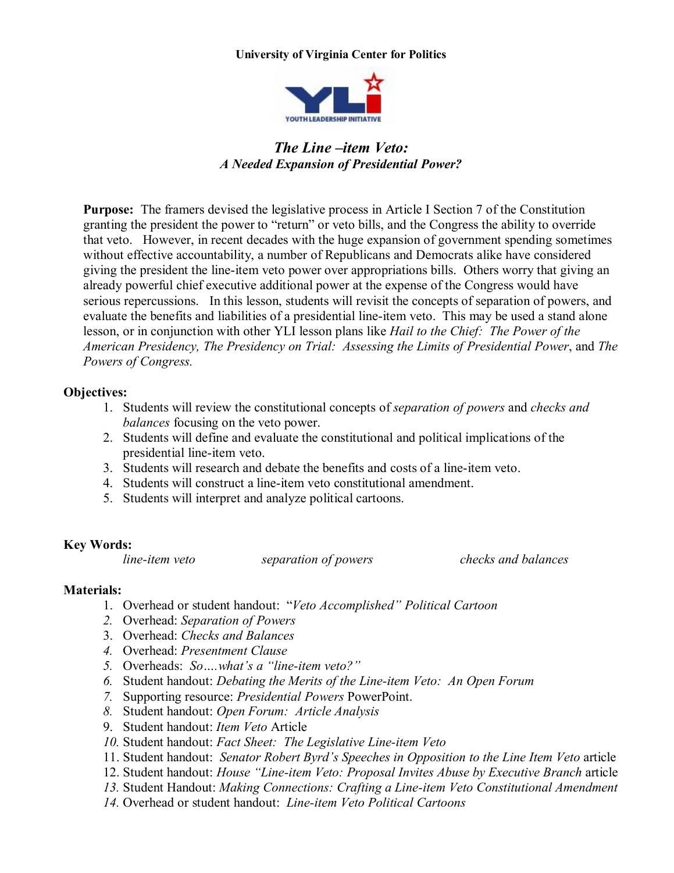#### **University of Virginia Center for Politics**



#### *The Line –item Veto: A Needed Expansion of Presidential Power?*

**Purpose:** The framers devised the legislative process in Article I Section 7 of the Constitution granting the president the power to "return" or veto bills, and the Congress the ability to override that veto. However, in recent decades with the huge expansion of government spending sometimes without effective accountability, a number of Republicans and Democrats alike have considered giving the president the line-item veto power over appropriations bills. Others worry that giving an already powerful chief executive additional power at the expense of the Congress would have serious repercussions. In this lesson, students will revisit the concepts of separation of powers, and evaluate the benefits and liabilities of a presidential line-item veto. This may be used a stand alone lesson, or in conjunction with other YLI lesson plans like *Hail to the Chief: The Power of the American Presidency, The Presidency on Trial: Assessing the Limits of Presidential Power*, and *The Powers of Congress.*

#### **Objectives:**

- 1. Students will review the constitutional concepts of *separation of powers* and *checks and balances* focusing on the veto power.
- 2. Students will define and evaluate the constitutional and political implications of the presidential line-item veto.
- 3. Students will research and debate the benefits and costs of a line-item veto.
- 4. Students will construct a line-item veto constitutional amendment.
- 5. Students will interpret and analyze political cartoons.

#### **Key Words:**

*line-item veto separation of powers checks and balances* 

#### **Materials:**

- 1. Overhead or student handout: "*Veto Accomplished" Political Cartoon*
- *2.* Overhead: *Separation of Powers*
- 3. Overhead: *Checks and Balances*
- *4.* Overhead: *Presentment Clause*
- 5. Overheads: *So....what's a "line-item veto?"*
- *6.* Student handout: Debating the Merits of the Line-item Veto: An Open Forum
- *7.* Supporting resource: *Presidential Powers* PowerPoint.
- *8.* Student handout: *Open Forum: Article Analysis*
- 9. Student handout: *Item Veto* Article
- *10.* Student handout: *Fact Sheet: The Legislative Line-item Veto*
- 11. Student handout: *Senator Robert Byrd's Speeches in Opposition to the Line Item Veto* article
- 12. Student handout: *House "Line-item Veto: Proposal Invites Abuse by Executive Branch* article
- 13. Student Handout: Making Connections: Crafting a Line-item Veto Constitutional Amendment
- 14. Overhead or student handout: *Line-item Veto Political Cartoons*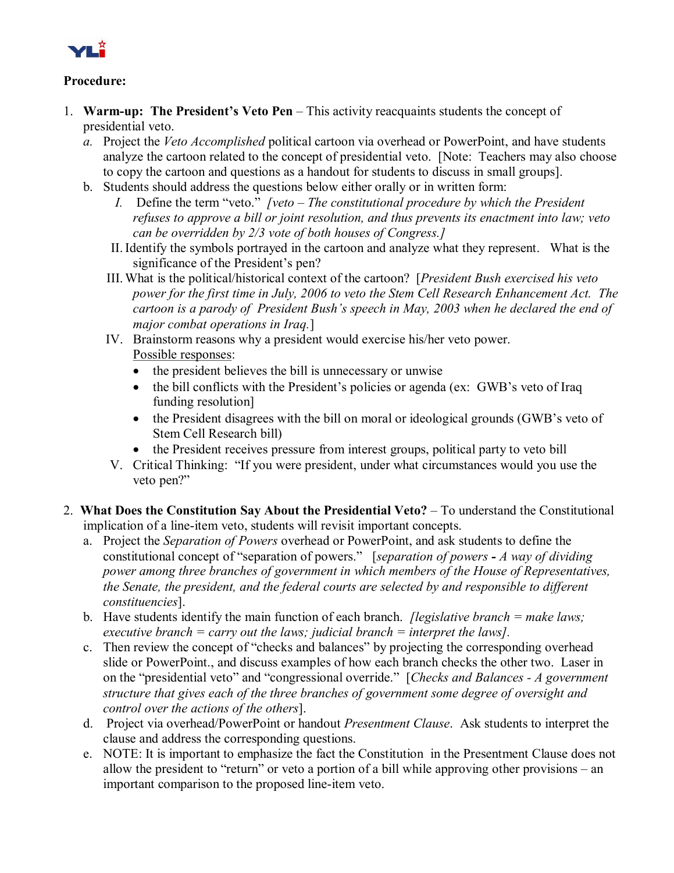

#### **Procedure:**

- 1. **Warm-up: The President's Veto Pen** This activity reacquaints students the concept of presidential veto.
	- *a.* Project the *Veto Accomplished* political cartoon via overhead or PowerPoint, and have students analyze the cartoon related to the concept of presidential veto. [Note: Teachers may also choose to copy the cartoon and questions as a handout for students to discuss in small groups].
	- b. Students should address the questions below either orally or in written form:
		- *I.* Define the term "veto." *[veto – The constitutional procedure by which the President refuses to approve a bill or joint resolution, and thus prevents its enactment into law; veto can be overridden by 2/3 vote of both houses of Congress.]*
		- II.Identify the symbols portrayed in the cartoon and analyze what they represent. What is the significance of the President's pen?
		- III.What is the political/historical context of the cartoon? [*President Bush exercised his veto power for the first time in July, 2006 to veto the Stem Cell Research Enhancement Act. The cartoon is a parody of President Bush's speech in May, 2003 when he declared the end of major combat operations in Iraq.*]
		- IV. Brainstorm reasons why a president would exercise his/her veto power. Possible responses:
			- · the president believes the bill is unnecessary or unwise
			- the bill conflicts with the President's policies or agenda (ex: GWB's veto of Iraq funding resolution]
			- the President disagrees with the bill on moral or ideological grounds (GWB's veto of Stem Cell Research bill)
			- the President receives pressure from interest groups, political party to veto bill
		- V. Critical Thinking: "If you were president, under what circumstances would you use the veto pen?"
- 2. **What Does the Constitution Say About the Presidential Veto?** To understand the Constitutional implication of a line-item veto, students will revisit important concepts.
	- a. Project the *Separation of Powers* overhead or PowerPoint, and ask students to define the constitutional concept of "separation of powers." [*separation of powers A way of dividing power among three branches of government in which members of the House of Representatives, the Senate, the president, and the federal courts are selected by and responsible to different constituencies*].
	- b. Have students identify the main function of each branch. *[legislative branch = make laws; executive branch = carry out the laws; judicial branch = interpret the laws].*
	- c. Then review the concept of "checks and balances" by projecting the corresponding overhead slide or PowerPoint., and discuss examples of how each branch checks the other two. Laser in on the "presidential veto" and "congressional override." [*Checks and Balances A government structure that gives each of the three branches of government some degree of oversight and control over the actions of the others*].
	- d. Project via overhead/PowerPoint or handout *Presentment Clause*. Ask students to interpret the clause and address the corresponding questions.
	- e. NOTE: It is important to emphasize the fact the Constitution in the Presentment Clause does not allow the president to "return" or veto a portion of a bill while approving other provisions – an important comparison to the proposed line-item veto.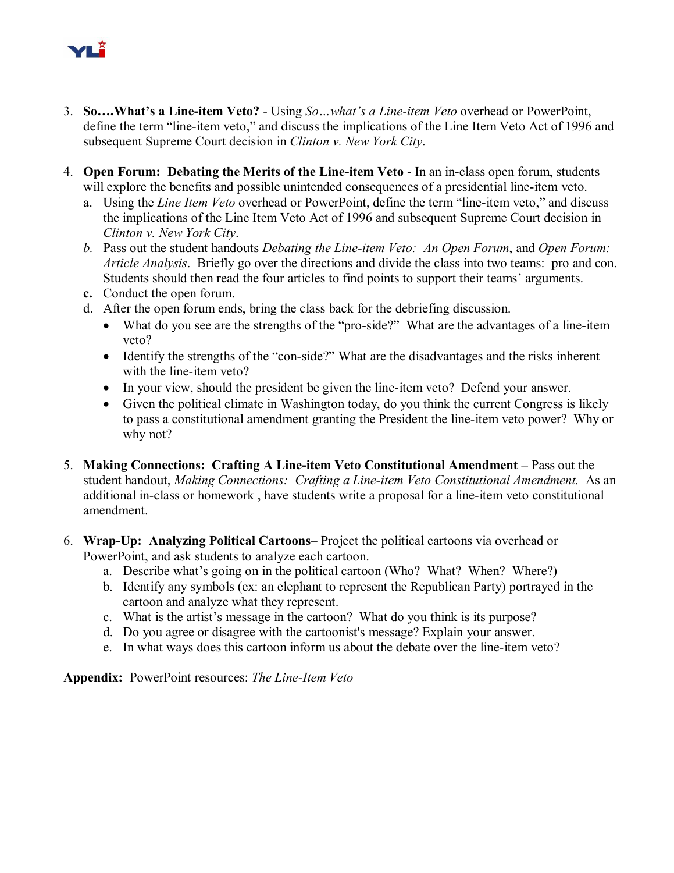

- 3. **So....What's a Line-item Veto?** Using *So...what's a Line-item Veto* overhead or PowerPoint, define the term "line-item veto," and discuss the implications of the Line Item Veto Act of 1996 and subsequent Supreme Court decision in *Clinton v. New York City*.
- 4. **Open Forum: Debating the Merits of the Lineitem Veto** In an inclass open forum, students will explore the benefits and possible unintended consequences of a presidential line-item veto.
	- a. Using the *Line Item Veto* overhead or PowerPoint, define the term "line-item veto," and discuss the implications of the Line Item Veto Act of 1996 and subsequent Supreme Court decision in *Clinton v. New York City*.
	- *b.* Pass out the student handouts *Debating the Line-item Veto: An Open Forum*, and *Open Forum: Article Analysis*. Briefly go over the directions and divide the class into two teams: pro and con. Students should then read the four articles to find points to support their teams' arguments.
	- **c.** Conduct the open forum.
	- d. After the open forum ends, bring the class back for the debriefing discussion.
		- What do you see are the strengths of the "pro-side?" What are the advantages of a line-item veto?
		- Identify the strengths of the "con-side?" What are the disadvantages and the risks inherent with the line-item veto?
		- In your view, should the president be given the line-item veto? Defend your answer.
		- Given the political climate in Washington today, do you think the current Congress is likely to pass a constitutional amendment granting the President the line-item veto power? Why or why not?
- 5. **Making Connections: Crafting A Lineitem Veto Constitutional Amendment –** Pass out the student handout, *Making Connections: Crafting a Line-item Veto Constitutional Amendment.* As an additional in-class or homework, have students write a proposal for a line-item veto constitutional amendment.
- 6. **Wrap-Up: Analyzing Political Cartoons–** Project the political cartoons via overhead or PowerPoint, and ask students to analyze each cartoon.
	- a. Describe what's going on in the political cartoon (Who? What? When? Where?)
	- b. Identify any symbols (ex: an elephant to represent the Republican Party) portrayed in the cartoon and analyze what they represent.
	- c. What is the artist's message in the cartoon? What do you think is its purpose?
	- d. Do you agree or disagree with the cartoonist's message? Explain your answer.
	- e. In what ways does this cartoon inform us about the debate over the line-item veto?

**Appendix:** PowerPoint resources: *The Line-Item Veto*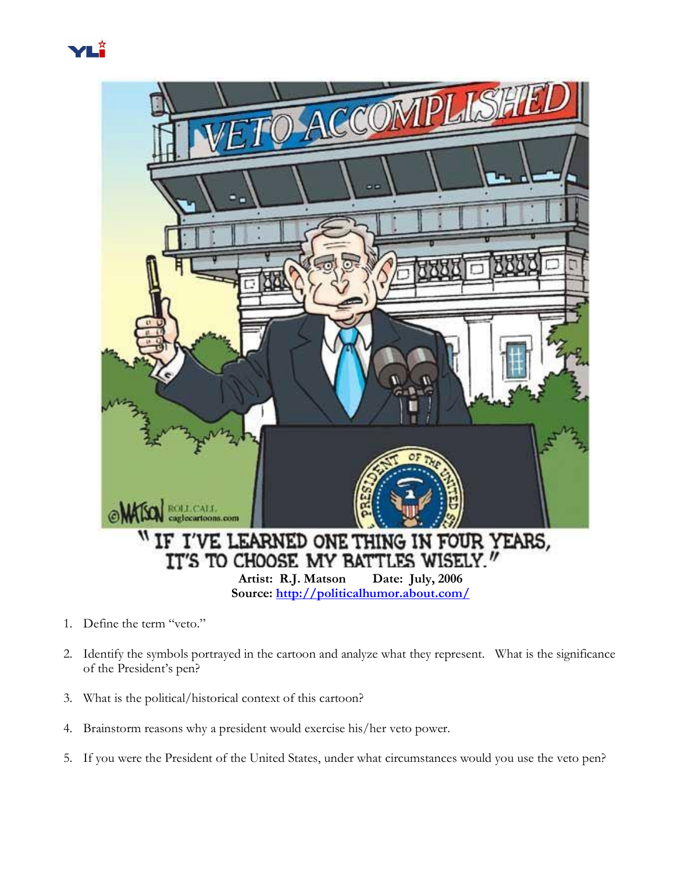



- 1. Define the term "veto."
- 2. Identify the symbols portrayed in the cartoon and analyze what they represent. What is the significance of the President's pen?
- 3. What is the political/historical context of this cartoon?
- 4. Brainstorm reasons why a president would exercise his/her veto power.
- 5. If you were the President of the United States, under what circumstances would you use the veto pen?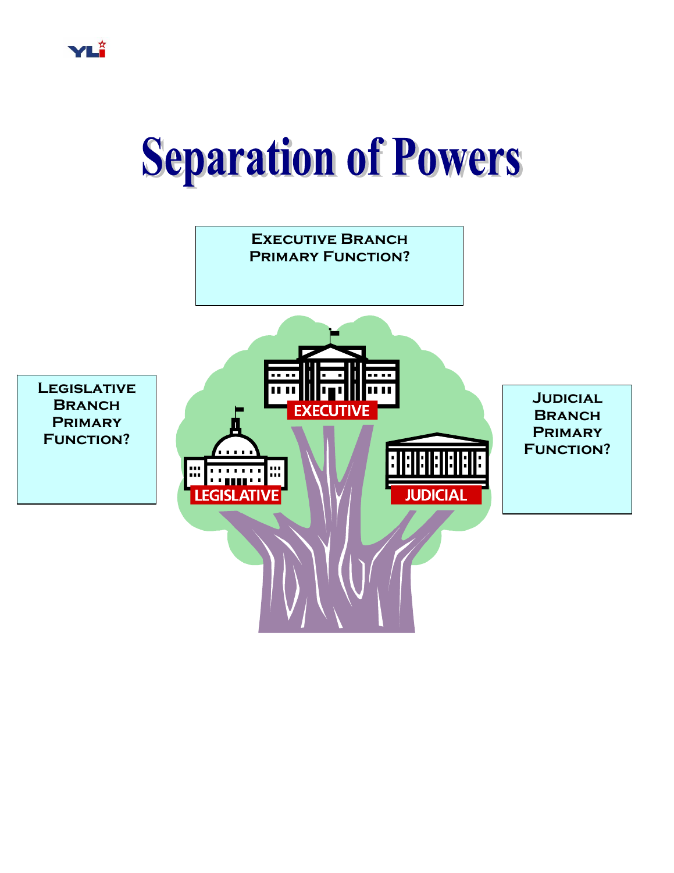

# **Separation of Powers**

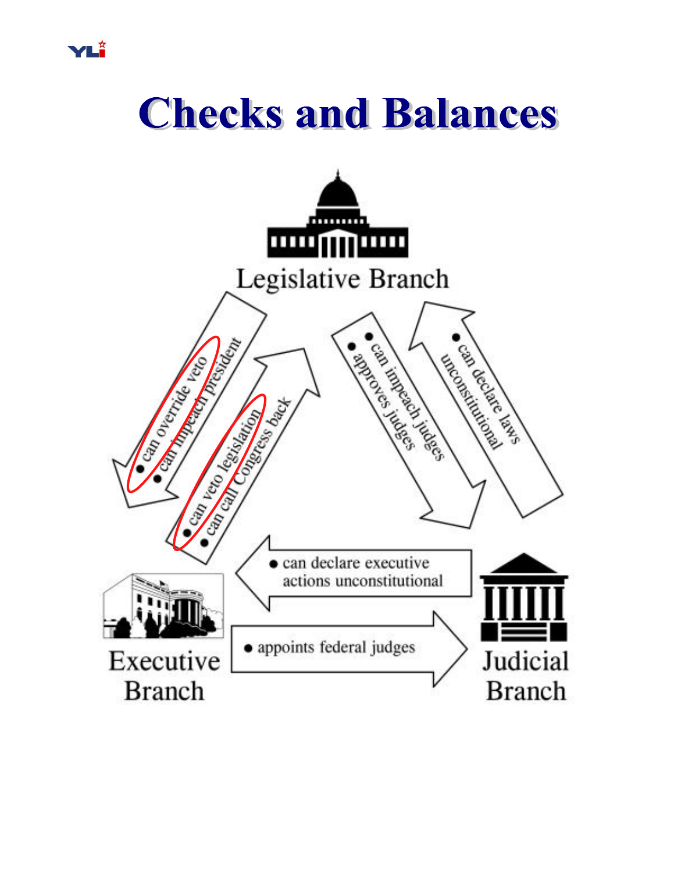# **Checks and Balances**

YLÏ

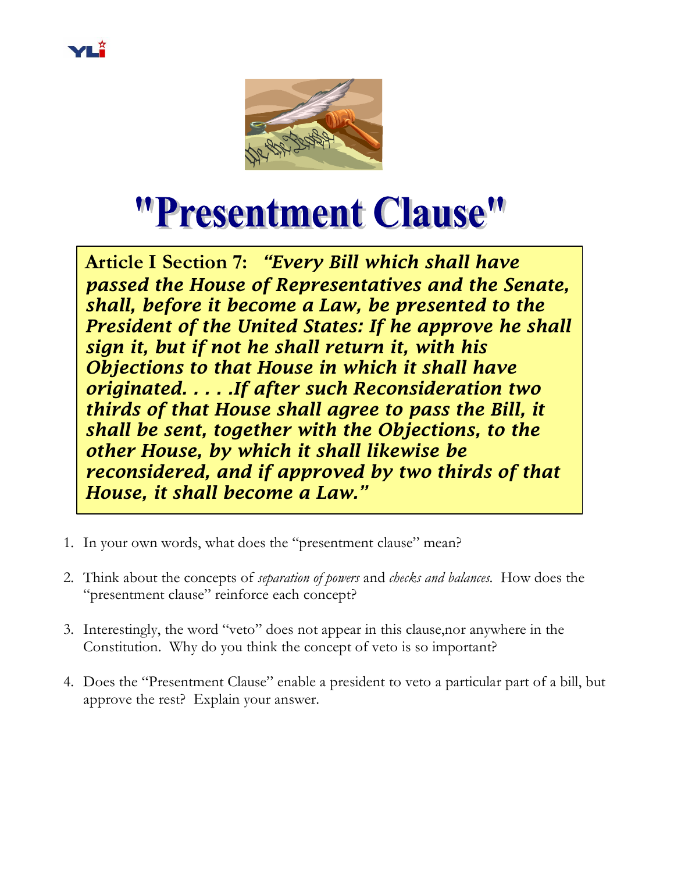



## "Presentment Clause"

**Article I Section 7:** *"Every Bill which shall have passed the House of Representatives and the Senate, shall, before it become a Law, be presented to the President of the United States: If he approve he shall sign it, but if not he shall return it, with his Objections to that House in which it shall have originated. . . . .If after such Reconsideration two thirds of that House shall agree to pass the Bill, it shall be sent, together with the Objections, to the other House, by which it shall likewise be reconsidered, and if approved by two thirds of that House, it shall become a Law."*

- 1. In your own words, what does the "presentment clause" mean?
- 2. Think about the concepts of *separation of powers* and *checks and balances*. How does the "presentment clause" reinforce each concept?
- 3. Interestingly, the word "veto" does not appear in this clause,nor anywhere in the Constitution. Why do you think the concept of veto is so important?
- 4. Does the "Presentment Clause" enable a president to veto a particular part of a bill, but approve the rest? Explain your answer.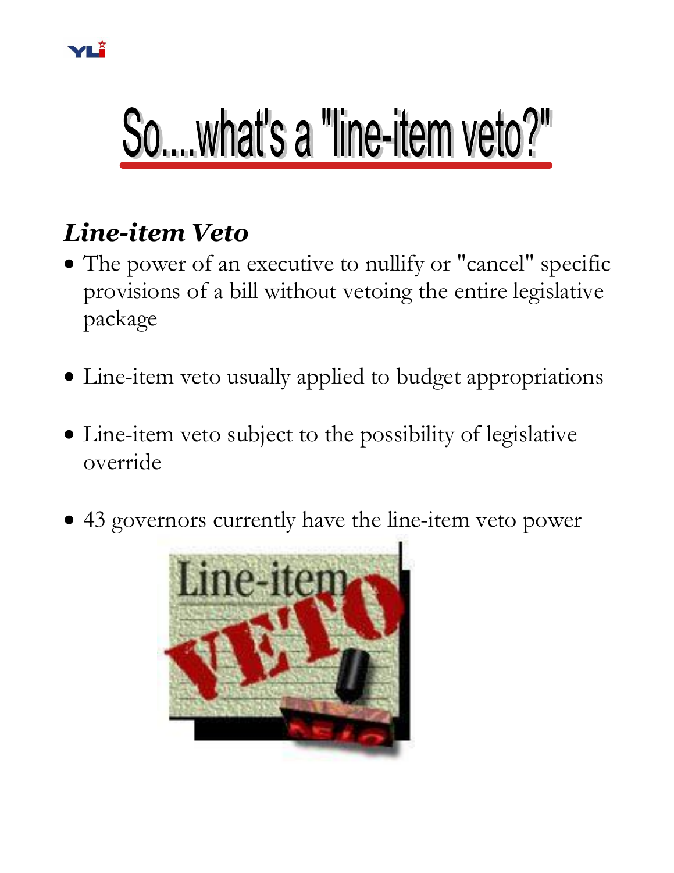

# So...what's a "line-item veto?"

## *Lineitem Veto*

- · The power of an executive to nullify or "cancel" specific provisions of a bill without vetoing the entire legislative package
- · Line-item veto usually applied to budget appropriations
- Line-item veto subject to the possibility of legislative override
- 43 governors currently have the line-item veto power

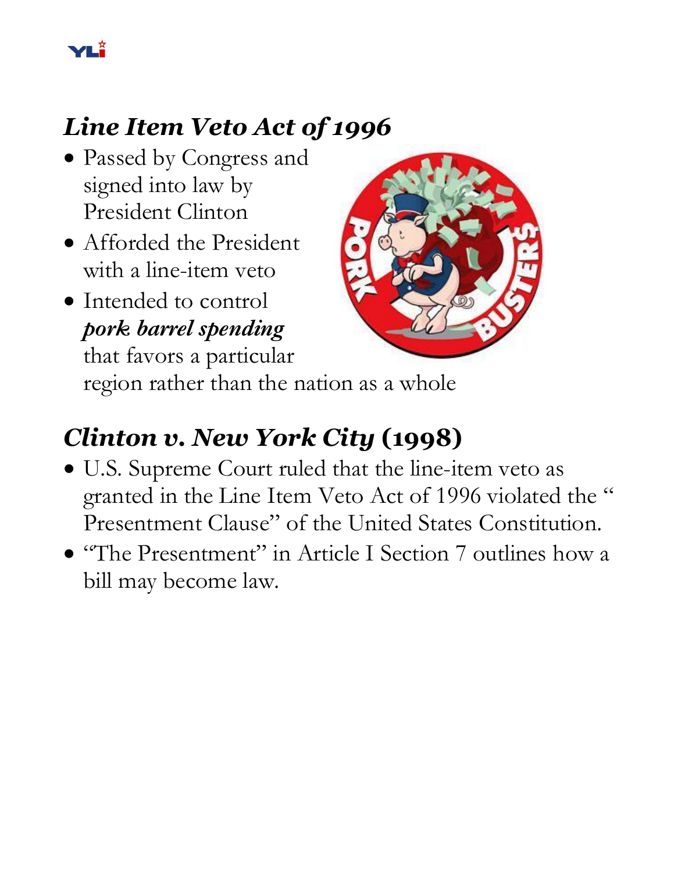

## *Line Item Veto Act of 1996*

- · Passed by Congress and signed into law by President Clinton
- Afforded the President with a line-item veto
- · Intended to control *pork barrel spending*  that favors a particular



region rather than the nation as a whole

## *Clinton v. New York City* **(1998)**

- · U.S. Supreme Court ruled that the [line-item veto](http://en.wikipedia.org/wiki/Line-item_veto) as granted in the [Line Item Veto Act of 1996](http://en.wikipedia.org/wiki/Line_Item_Veto_Act_of_1996) violated the " [Presentment Clause](http://en.wikipedia.org/wiki/Presentment_Clause)" of the [United States Constitution.](http://en.wikipedia.org/wiki/United_States_Constitution)
- · "The Presentment" in Article I Section 7 outlines how a bill may become law.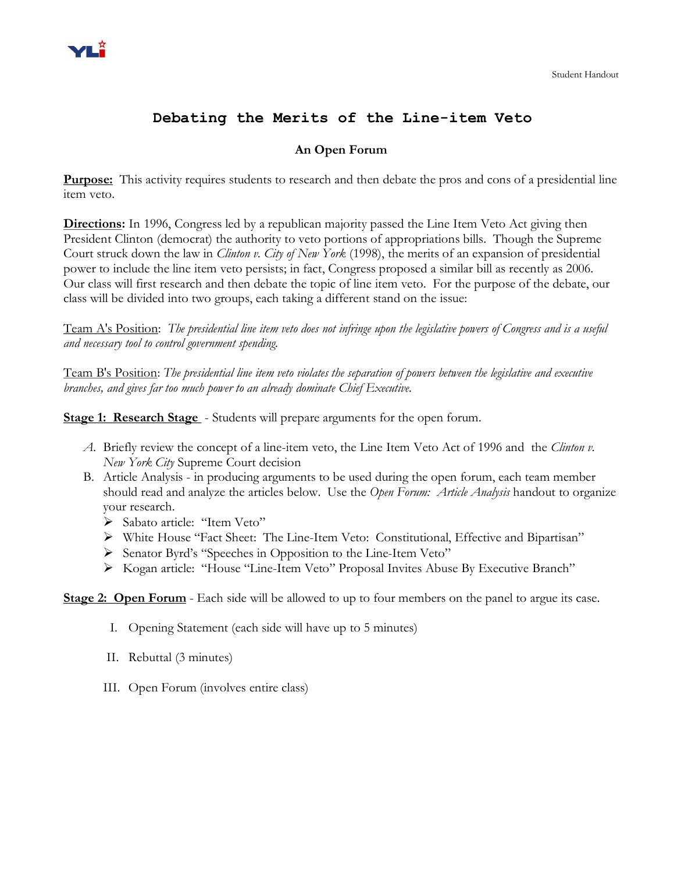

#### Debating the Merits of the Line-item Veto

#### **An Open Forum**

**Purpose:** This activity requires students to research and then debate the pros and cons of a presidential line item veto.

**Directions:** In 1996, Congress led by a republican majority passed the Line Item Veto Act giving then President Clinton (democrat) the authority to veto portions of appropriations bills. Though the Supreme Court struck down the law in *Clinton v. City of New York* (1998), the merits of an expansion of presidential power to include the line item veto persists; in fact, Congress proposed a similar bill as recently as 2006. Our class will first research and then debate the topic of line item veto. For the purpose of the debate, our class will be divided into two groups, each taking a different stand on the issue:

Team A's Position: The presidential line item veto does not infringe upon the legislative powers of Congress and is a useful *and necessary tool to control government spending.*

Team B's Position: *The presidential line item veto violates the separation of powers between the legislative and executive branches, and gives far too much power to an already dominate Chief Executive.*

**Stage 1: Research Stage** - Students will prepare arguments for the open forum.

- *A.* Briefly review the concept of a line-item veto, the Line Item Veto Act of 1996 and the *Clinton v. New York City* Supreme Court decision
- B. Article Analysis in producing arguments to be used during the open forum, each team member should read and analyze the articles below. Use the *Open Forum: Article Analysis* handout to organize your research.
	- > Sabato article: "Item Veto"
	- ÿ White House "Fact Sheet: The Line-Item Veto: Constitutional, Effective and Bipartisan"
	- ÿ Senator Byrd's "Speeches in Opposition to the Line-Item Veto"
	- ÿ Kogan article: "House "Line-Item Veto" Proposal Invites Abuse By Executive Branch"

#### **Stage 2: Open Forum** - Each side will be allowed to up to four members on the panel to argue its case.

- I. Opening Statement (each side will have up to 5 minutes)
- II. Rebuttal (3 minutes)
- III. Open Forum (involves entire class)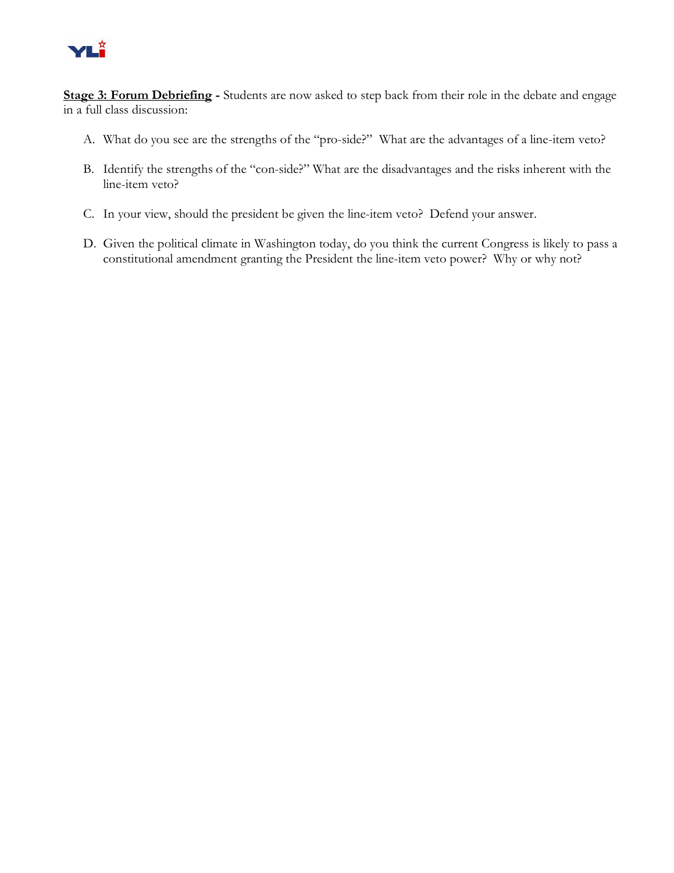

**Stage 3: Forum Debriefing -** Students are now asked to step back from their role in the debate and engage in a full class discussion:

- A. What do you see are the strengths of the "pro-side?" What are the advantages of a line-item veto?
- B. Identify the strengths of the "con-side?" What are the disadvantages and the risks inherent with the line-item veto?
- 
- C. In your view, should the president be given the line-item veto? Defend your answer. D. Given the political climate in Washington today, do you think the current Congress is likely to pass <sup>a</sup> constitutional amendment granting the President the line-item veto power? Why or why not?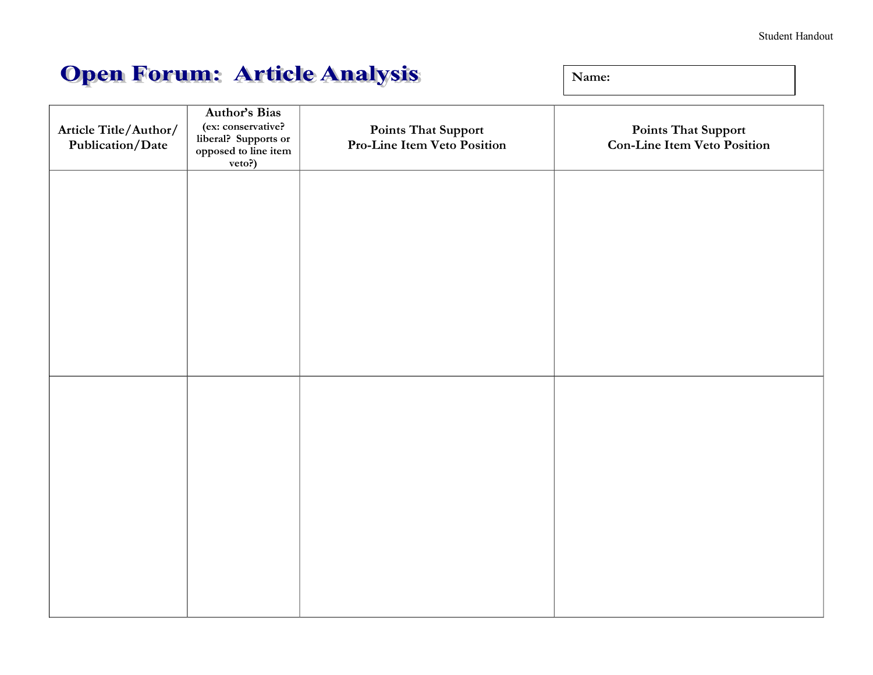#### Student Handout

## **Open Forum: Article Analysis**

**Name:**

| Article Title/Author/<br>Publication/Date | Author's Bias<br>(ex: conservative?<br>liberal? Supports or<br>opposed to line item<br>veto?) | <b>Points That Support</b><br>Pro-Line Item Veto Position | <b>Points That Support</b><br><b>Con-Line Item Veto Position</b> |
|-------------------------------------------|-----------------------------------------------------------------------------------------------|-----------------------------------------------------------|------------------------------------------------------------------|
|                                           |                                                                                               |                                                           |                                                                  |
|                                           |                                                                                               |                                                           |                                                                  |
|                                           |                                                                                               |                                                           |                                                                  |
|                                           |                                                                                               |                                                           |                                                                  |
|                                           |                                                                                               |                                                           |                                                                  |
|                                           |                                                                                               |                                                           |                                                                  |
|                                           |                                                                                               |                                                           |                                                                  |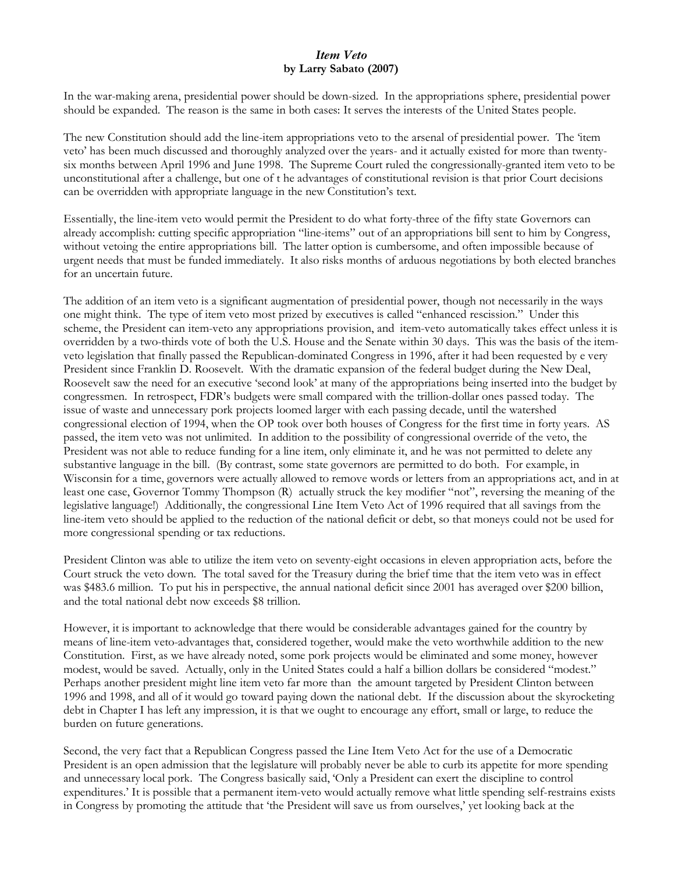#### *Item Veto* **by Larry Sabato (2007)**

In the war-making arena, presidential power should be down-sized. In the appropriations sphere, presidential power should be expanded. The reason is the same in both cases: It serves the interests of the United States people.

The new Constitution should add the line-item appropriations veto to the arsenal of presidential power. The 'item veto' has been much discussed and thoroughly analyzed over the years- and it actually existed for more than twentysix months between April 1996 and June 1998. The Supreme Court ruled the congressionally-granted item veto to be<br>unconstitutional after a challenge, but one of t he advantages of constitutional revision is that prior Court can be overridden with appropriate language in the new Constitution's text.

Essentially, the line-item veto would permit the President to do what forty-three of the fifty state Governors can already accomplish: cutting specific appropriation "line-items" out of an appropriations bill sent to him by Congress, without vetoing the entire appropriations bill. The latter option is cumbersome, and often impossible because of<br>urgent needs that must be funded immediately. It also risks months of arduous negotiations by both elected br for an uncertain future.

The addition of an item veto is a significant augmentation of presidential power, though not necessarily in the ways one might think. The type of item veto most prized by executives is called "enhanced rescission." Under this scheme, the President can item-veto any appropriations provision, and item-veto automatically takes effect unless it is overridden by a two-thirds vote of both the U.S. House and the Senate within 30 days. This was the basis of the item veto legislation that finally passed the Republican-dominated Congress in 1996, after it had been requested by e very President since Franklin D. Roosevelt. With the dramatic expansion of the federal budget during the New Deal,<br>Roosevelt saw the need for an executive 'second look' at many of the appropriations being inserted into the budg congressmen. In retrospect, FDR's budgets were small compared with the trillion-dollar ones passed today. The issue of waste and unnecessary pork projects loomed larger with each passing decade, until the watershed congressional election of 1994, when the OP took over both houses of Congress for the first time in forty years. AS passed, the item veto was not unlimited. In addition to the possibility of congressional override of the veto, the President was not able to reduce funding for a line item, only eliminate it, and he was not permitted to delete any substantive language in the bill. (By contrast, some state governors are permitted to do both. For example, in Wisconsin for a time, governors were actually allowed to remove words or letters from an appropriations act, and in at least one case, Governor Tommy Thompson (R) actually struck the key modifier "not", reversing the meaning of the legislative language!) Additionally, the congressional Line Item Veto Act of 1996 required that all savings from the line-item veto should be applied to the reduction of the national deficit or debt, so that moneys could not be used for more congressional spending or tax reductions.

President Clinton was able to utilize the item veto on seventy-eight occasions in eleven appropriation acts, before the Court struck the veto down. The total saved for the Treasury during the brief time that the item veto was in effect was \$483.6 million. To put his in perspective, the annual national deficit since 2001 has averaged over \$200 billion, and the total national debt now exceeds \$8 trillion.<br>However, it is important to acknowledge that there

means of line-item veto-advantages that, considered together, would make the veto worthwhile addition to the new Constitution. First, as we have already noted, some pork projects would be eliminated and some money, however modest, would be saved. Actually, only in the United States could a half a billion dollars be considered "modest." Perhaps another president might line item veto far more than the amount targeted by President Clinton between 1996 and 1998, and all of it would go toward paying down the national debt. If the discussion about the skyrocketing debt in Chapter I has left any impression, it is that we ought to encourage any effort, small or large, to reduce the burden on future generations.

Second, the very fact that a Republican Congress passed the Line Item Veto Act for the use of a Democratic President is an open admission that the legislature will probably never be able to curb its appetite for more spending and unnecessary local pork. The Congress basically said, 'Only a President can exert the discipline to control expenditures.' It is possible that a permanent item-veto would actually remove what little spending self-restrains exists in Congress by promoting the attitude that 'the President will save us from ourselves,' yet looking back at the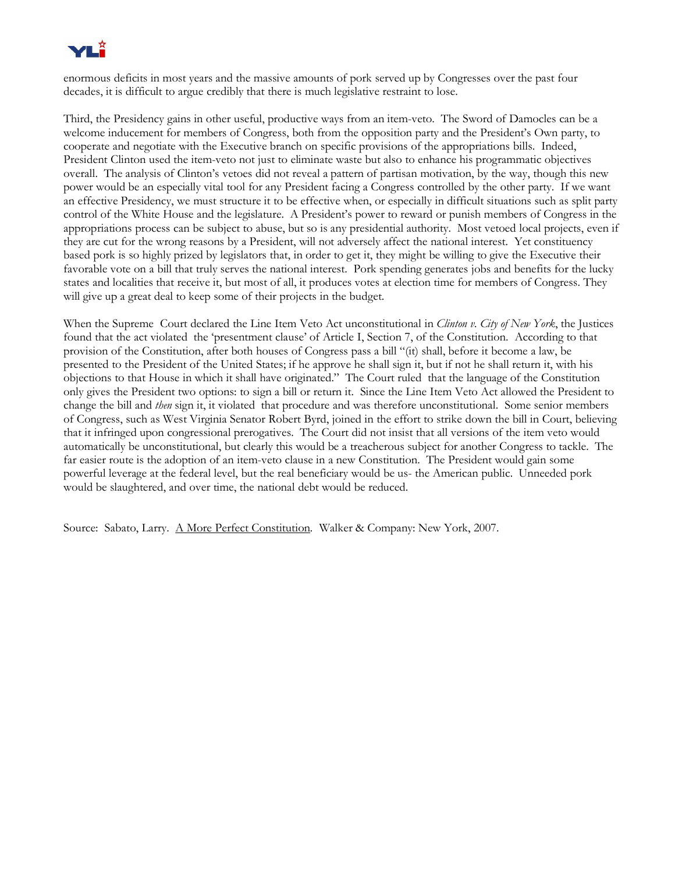

enormous deficits in most years and the massive amounts of pork served up by Congresses over the past four decades, it is difficult to argue credibly that there is much legislative restraint to lose.

Third, the Presidency gains in other useful, productive ways from an item-veto. The Sword of Damocles can be a welcome inducement for members of Congress, both from the opposition party and the President's Own party, to cooperate and negotiate with the Executive branch on specific provisions of the appropriations bills. Indeed, President Clinton used the item-veto not just to eliminate waste but also to enhance his programmatic objectives overall. The analysis of Clinton's vetoes did not reveal a pattern of partisan motivation, by the way, though this new power would be an especially vital tool for any President facing a Congress controlled by the other party. If we want an effective Presidency, we must structure it to be effective when, or especially in difficult situations such as split party control of the White House and the legislature. A President's power to reward or punish members of Congress in the appropriations process can be subject to abuse, but so is any presidential authority. Most vetoed local projects, even if they are cut for the wrong reasons by a President, will not adversely affect the national interest. Yet constituency based pork is so highly prized by legislators that, in order to get it, they might be willing to give the Executive their favorable vote on a bill that truly serves the national interest. Pork spending generates jobs and benefits for the lucky states and localities that receive it, but most of all, it produces votes at election time for members of Congress. They will give up a great deal to keep some of their projects in the budget.<br>When the Supreme Court declared the Line Item Veto Act unconstitutional in *Clinton v. City of New York*, the Justices

found that the act violated the 'presentment clause' of Article I, Section 7, of the Constitution. According to that provision of the Constitution, after both houses of Congress pass a bill "(it) shall, before it become a law, be presented to the President of the United States; if he approve he shall sign it, but if not he shall return it, with his objections to that House in which it shall have originated." The Court ruled that the language of the Constitution only gives the President two options: to sign a bill or return it. Since the Line Item Veto Act allowed the President to change the bill and *then* sign it, it violated that procedure and was therefore unconstitutional. Some senior members of Congress, such as West Virginia Senator Robert Byrd, joined in the effort to strike down the bill in Court, believing that it infringed upon congressional prerogatives. The Court did not insist that all versions of the item veto would automatically be unconstitutional, but clearly this would be a treacherous subject for another Congress to tackle. The far easier route is the adoption of an item-veto clause in a new Constitution. The President would gain some powerful leverage at the federal level, but the real beneficiary would be us- the American public. Unneeded pork would be slaughtered, and over time, the national debt would be reduced.

Source: Sabato, Larry. A More Perfect Constitution*.* Walker & Company: New York, 2007.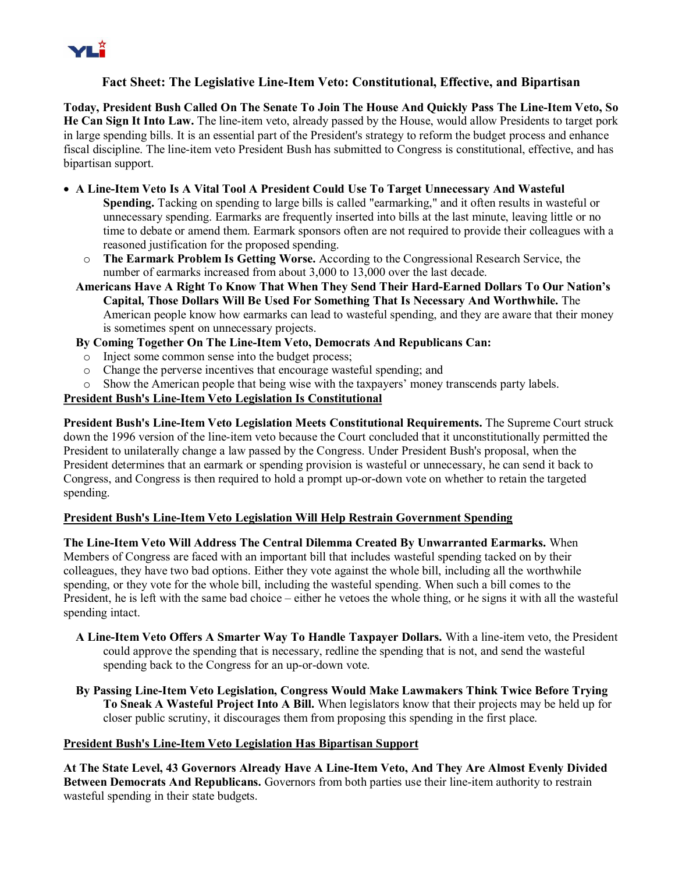

#### **Fact Sheet: The Legislative Line-Item Veto: Constitutional, Effective, and Bipartisan**

**Today, President Bush Called On The Senate To Join The House And Quickly Pass The LineItem Veto, So**  He Can Sign It Into Law. The line-item veto, already passed by the House, would allow Presidents to target pork in large spending bills. It is an essential part of the President's strategy to reform the budget process and enhance fiscal discipline. The line-item veto President Bush has submitted to Congress is constitutional, effective, and has bipartisan support.

- · **A LineItem Veto Is A Vital Tool A President Could Use To Target Unnecessary And Wasteful Spending.** Tacking on spending to large bills is called "earmarking," and it often results in wasteful or
	- unnecessary spending. Earmarks are frequently inserted into bills at the last minute, leaving little or no time to debate or amend them. Earmark sponsors often are not required to provide their colleagues with a reasoned justification for the proposed spending.
	- o **The Earmark Problem Is Getting Worse.** According to the Congressional Research Service, the number of earmarks increased from about 3,000 to 13,000 over the last decade.
	- **Americans Have A Right To Know That When They Send Their HardEarned Dollars To Our Nation's Capital, Those Dollars Will Be Used For Something That Is Necessary And Worthwhile.** The American people know how earmarks can lead to wasteful spending, and they are aware that their money is sometimes spent on unnecessary projects.
	- **By Coming Together On The LineItem Veto, Democrats And Republicans Can:**
	- o Inject some common sense into the budget process;
	- o Change the perverse incentives that encourage wasteful spending; and
	- o Show the American people that being wise with the taxpayers' money transcends party labels.

#### **President Bush's Line-Item Veto Legislation Is Constitutional**

**President Bush's Line-Item Veto Legislation Meets Constitutional Requirements. The Supreme Court struck** down the 1996 version of the line-item veto because the Court concluded that it unconstitutionally permitted the President to unilaterally change a law passed by the Congress. Under President Bush's proposal, when the President determines that an earmark or spending provision is wasteful or unnecessary, he can send it back to Congress, and Congress is then required to hold a prompt up-or-down vote on whether to retain the targeted spending.

#### **President Bush's LineItem Veto Legislation Will Help Restrain Government Spending**

**The LineItem Veto Will Address The Central Dilemma Created By Unwarranted Earmarks.** When Members of Congress are faced with an important bill that includes wasteful spending tacked on by their colleagues, they have two bad options. Either they vote against the whole bill, including all the worthwhile spending, or they vote for the whole bill, including the wasteful spending. When such a bill comes to the President, he is left with the same bad choice – either he vetoes the whole thing, or he signs it with all the wasteful spending intact.

- **A Line-Item Veto Offers A Smarter Way To Handle Taxpayer Dollars. With a line-item veto, the President** could approve the spending that is necessary, redline the spending that is not, and send the wasteful spending back to the Congress for an up-or-down vote.
- **By Passing LineItem Veto Legislation, Congress Would Make Lawmakers Think Twice Before Trying To Sneak A Wasteful Project Into A Bill.** When legislators know that their projects may be held up for closer public scrutiny, it discourages them from proposing this spending in the first place.

#### **President Bush's Line-Item Veto Legislation Has Bipartisan Support**

**At The State Level, 43 Governors Already Have A LineItem Veto, And They Are Almost Evenly Divided Between Democrats And Republicans.** Governors from both parties use their line-item authority to restrain wasteful spending in their state budgets.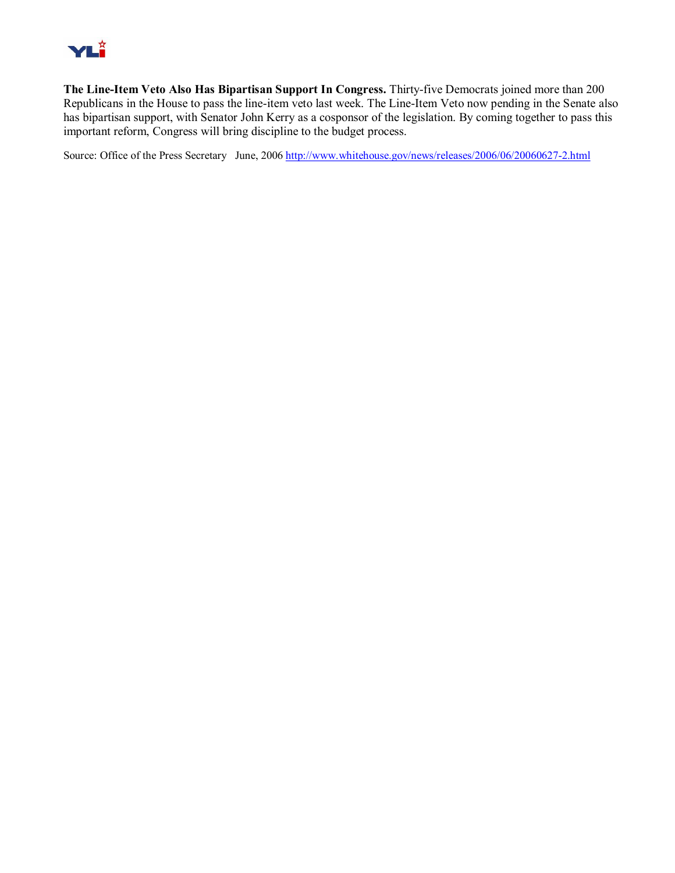

**The Line-Item Veto Also Has Bipartisan Support In Congress.** Thirty-five Democrats joined more than 200 Republicans in the House to pass the line-item veto last week. The Line-Item Veto now pending in the Senate also has bipartisan support, with Senator John Kerry as a cosponsor of the legislation. By coming together to pass this important reform, Congress will bring discipline to the budget process.

Source: Office of the Press Secretary June, 2006 http://www.whitehouse.gov/news/releases/2006/06/20060627-2.html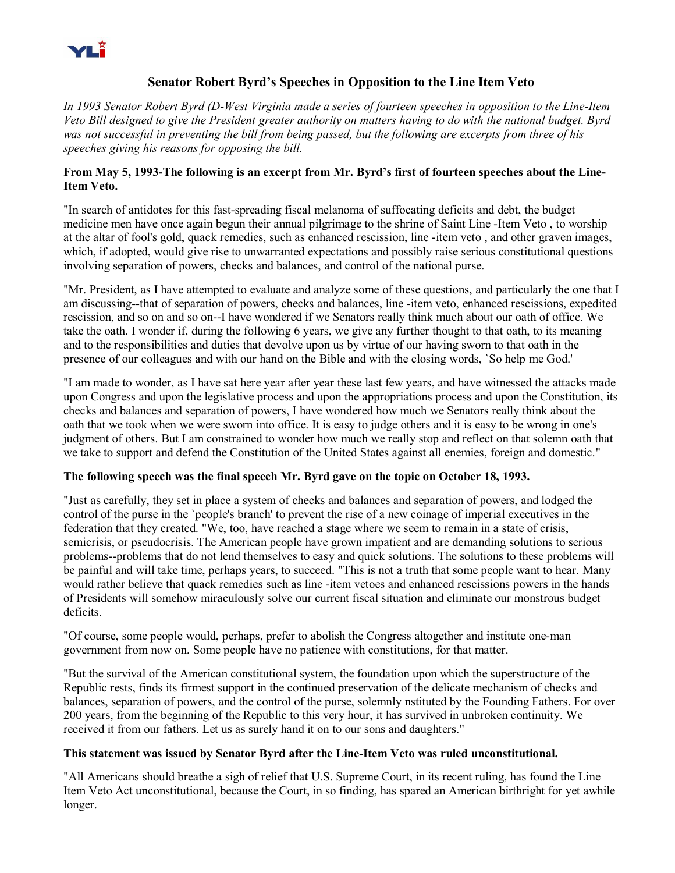

#### **Senator Robert Byrd's Speeches in Opposition to the Line Item Veto**

*In 1993 Senator Robert Byrd (D-West Virginia made a series of fourteen speeches in opposition to the Line-Item Veto Bill designed to give the President greater authority on matters having to do with the national budget. Byrd was not successful in preventing the bill from being passed, but the following are excerpts from three of his speeches giving his reasons for opposing the bill.*

#### **From May 5, 1993The following is an excerpt from Mr.Byrd's first of fourteen speeches about the Line Item Veto.**

"In search of antidotes for this fast-spreading fiscal melanoma of suffocating deficits and debt, the budget medicine men have once again begun their annual pilgrimage to the shrine of Saint Line -Item Veto, to worship at the altar of fool's gold, quack remedies, such as enhanced rescission, line item veto , and other graven images, which, if adopted, would give rise to unwarranted expectations and possibly raise serious constitutional questions involving separation of powers, checks and balances, and control of the national purse.

"Mr. President, as I have attempted to evaluate and analyze some of these questions, and particularly the one that I am discussing--that of separation of powers, checks and balances, line -item veto, enhanced rescissions, expedited rescission, and so on and so on--I have wondered if we Senators really think much about our oath of office. We take the oath. I wonder if, during the following 6 years, we give any further thought to that oath, to its meaning and to the responsibilities and duties that devolve upon us by virtue of our having sworn to that oath in the presence of our colleagues and with our hand on the Bible and with the closing words, `So help me God.'

"I am made to wonder, as I have sat here year after year these last few years, and have witnessed the attacks made upon Congress and upon the legislative process and upon the appropriations process and upon the Constitution, its checks and balances and separation of powers, I have wondered how much we Senators really think about the oath that we took when we were sworn into office. It is easy to judge others and it is easy to be wrong in one's judgment of others. But I am constrained to wonder how much we really stop and reflect on that solemn oath that we take to support and defend the Constitution of the United States against all enemies, foreign and domestic."

#### **The following speech was the final speech Mr. Byrd gave on the topic on October 18, 1993.**

"Just as carefully, they set in place a system of checks and balances and separation of powers, and lodged the control of the purse in the `people's branch' to prevent the rise of a new coinage of imperial executives in the federation that they created. "We, too, have reached a stage where we seem to remain in a state of crisis, semicrisis, or pseudocrisis. The American people have grown impatient and are demanding solutions to serious problems--problems that do not lend themselves to easy and quick solutions. The solutions to these problems will be painful and will take time, perhaps years, to succeed. "This is not a truth that some people want to hear. Many would rather believe that quack remedies such as line -item vetoes and enhanced rescissions powers in the hands of Presidents will somehow miraculously solve our current fiscal situation and eliminate our monstrous budget deficits.

"Of course, some people would, perhaps, prefer to abolish the Congress altogether and institute oneman government from now on.Some people have no patience with constitutions, for that matter.

"But the survival of the American constitutional system, the foundation upon which the superstructure of the Republic rests, finds its firmest support in the continued preservation of the delicate mechanism of checks and balances, separation of powers, and the control of the purse, solemnly nstituted by the Founding Fathers. For over 200 years, from the beginning of the Republic to this very hour, it has survived in unbroken continuity. We received it from our fathers. Let us as surely hand it on to our sons and daughters."

#### **This statement was issued by Senator Byrd after the Line-Item Veto was ruled unconstitutional.**

"All Americans should breathe a sigh of relief that U.S. Supreme Court, in its recent ruling, has found the Line Item Veto Act unconstitutional, because the Court, in so finding, has spared an American birthright for yet awhile longer.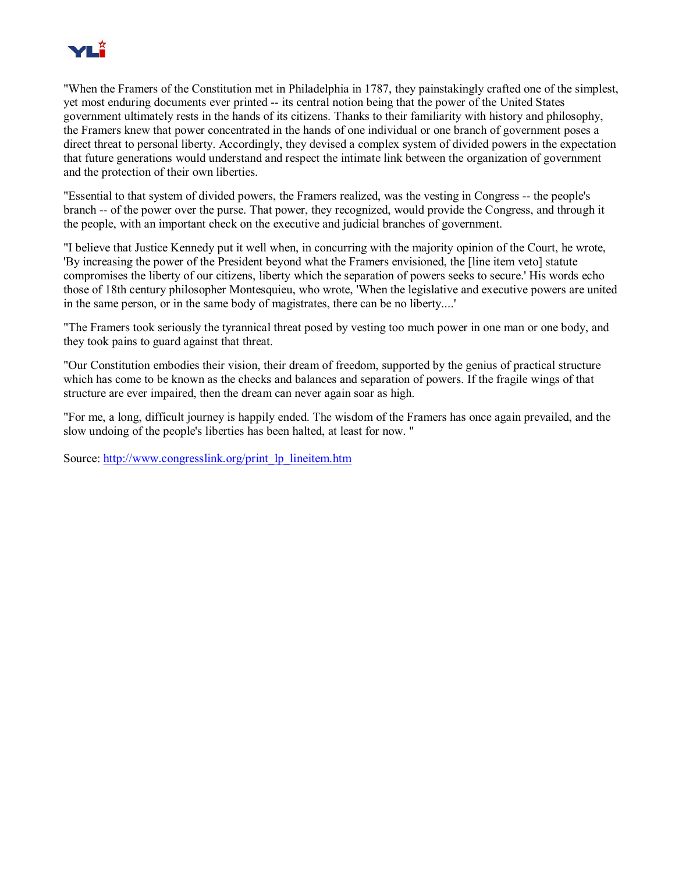

"When the Framers of the Constitution met in Philadelphia in 1787, they painstakingly crafted one of the simplest, yet most enduring documents ever printed -- its central notion being that the power of the United States government ultimately rests in the hands of its citizens. Thanks to their familiarity with history and philosophy, the Framers knew that power concentrated in the hands of one individual or one branch of government poses a direct threat to personal liberty. Accordingly, they devised a complex system of divided powers in the expectation that future generations would understand and respect the intimate link between the organization of government and the protection of their own liberties.

"Essential to that system of divided powers, the Framers realized, was the vesting in Congress the people's branch -- of the power over the purse. That power, they recognized, would provide the Congress, and through it the people, with an important check on the executive and judicial branches of government.

"I believe that Justice Kennedy put it well when, in concurring with the majority opinion of the Court, he wrote, 'By increasing the power of the President beyond what the Framers envisioned, the [line item veto] statute compromises the liberty of our citizens, liberty which the separation of powers seeks to secure.' His words echo those of 18th century philosopher Montesquieu, who wrote, 'When the legislative and executive powers are united in the same person, or in the same body of magistrates, there can be no liberty....'

"The Framers took seriously the tyrannical threat posed by vesting too much power in one man or one body, and they took pains to guard against that threat.

"Our Constitution embodies their vision, their dream of freedom, supported by the genius of practical structure which has come to be known as the checks and balances and separation of powers. If the fragile wings of that structure are ever impaired, then the dream can never again soar as high.

"For me, a long, difficult journey is happily ended. The wisdom of the Framers has once again prevailed, and the slow undoing of the people's liberties has been halted, at least for now. "

Source: [http://www.congresslink.org/print\\_lp\\_lineitem.htm](http://www.congresslink.org/print_lp_lineitem.htm)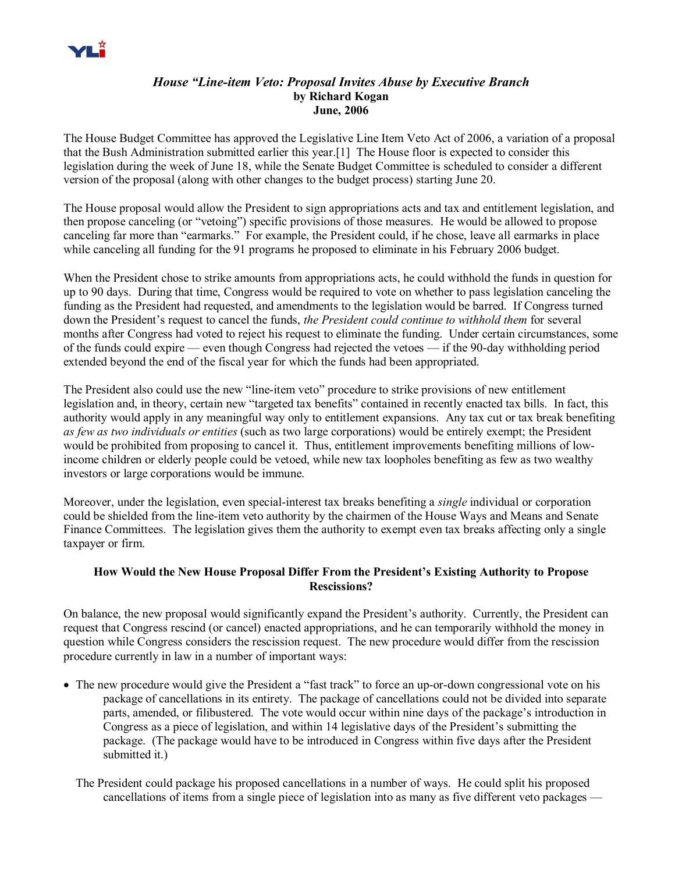

#### *House "Lineitem Veto: Proposal Invites Abuse by Executive Branch* **by Richard Kogan June, 2006**

The House Budget Committee has approved the Legislative Line Item Veto Act of 2006, a variation of a proposal that the Bush Administration submitted earlier this year.[\[1\]](http://www.cbpp.org/6-19-06bud2.htm) The House floor is expected to consider this legislation during the week of June 18, while the Senate Budget Committee is scheduled to consider a different version of the proposal (along with other changes to the budget process) starting June 20.

The House proposal would allow the President to sign appropriations acts and tax and entitlement legislation, and then propose canceling (or "vetoing") specific provisions of those measures. He would be allowed to propose canceling far more than "earmarks." For example, the President could, if he chose, leave all earmarks in place while canceling all funding for the 91 programs he proposed to eliminate in his February 2006 budget.

When the President chose to strike amounts from appropriations acts, he could withhold the funds in question for up to 90 days. During that time, Congress would be required to vote on whether to pass legislation canceling the funding as the President had requested, and amendments to the legislation would be barred. If Congress turned down the President's request to cancel the funds, *the President could continue to withhold them* for several months after Congress had voted to reject his request to eliminate the funding. Under certain circumstances, some of the funds could expire — even though Congress had rejected the vetoes — if the 90-day withholding period extended beyond the end of the fiscal year for which the funds had been appropriated.

The President also could use the new "line-item veto" procedure to strike provisions of new entitlement legislation and, in theory, certain new "targeted tax benefits" contained in recently enacted tax bills. In fact, this authority would apply in any meaningful way only to entitlement expansions. Any tax cut or tax break benefiting *as few as two individuals or entities* (such as two large corporations) would be entirely exempt; the President would be prohibited from proposing to cancel it. Thus, entitlement improvements benefiting millions of lowincome children or elderly people could be vetoed, while new tax loopholes benefiting as few as two wealthy investors or large corporations would be immune.

Moreover, under the legislation, even special-interest tax breaks benefiting a *single* individual or corporation could be shielded from the line-item veto authority by the chairmen of the House Ways and Means and Senate Finance Committees. The legislation gives them the authority to exempt even tax breaks affecting only a single taxpayer or firm.

#### **How Would the New House Proposal Differ From the President's Existing Authority to Propose Rescissions?**

On balance, the new proposal would significantly expand the President's authority. Currently, the President can request that Congress rescind (or cancel) enacted appropriations, and he can temporarily withhold the money in question while Congress considers the rescission request. The new procedure would differ from the rescission procedure currently in law in a number of important ways:

- The new procedure would give the President a "fast track" to force an up-or-down congressional vote on his package of cancellations in its entirety. The package of cancellations could not be divided into separate parts, amended, or filibustered. The vote would occur within nine days of the package's introduction in Congress as a piece of legislation, and within 14 legislative days of the President's submitting the package. (The package would have to be introduced in Congress within five days after the President submitted it.)
	- The President could package his proposed cancellations in a number of ways. He could split his proposed cancellations of items from a single piece of legislation into as many as five different veto packages —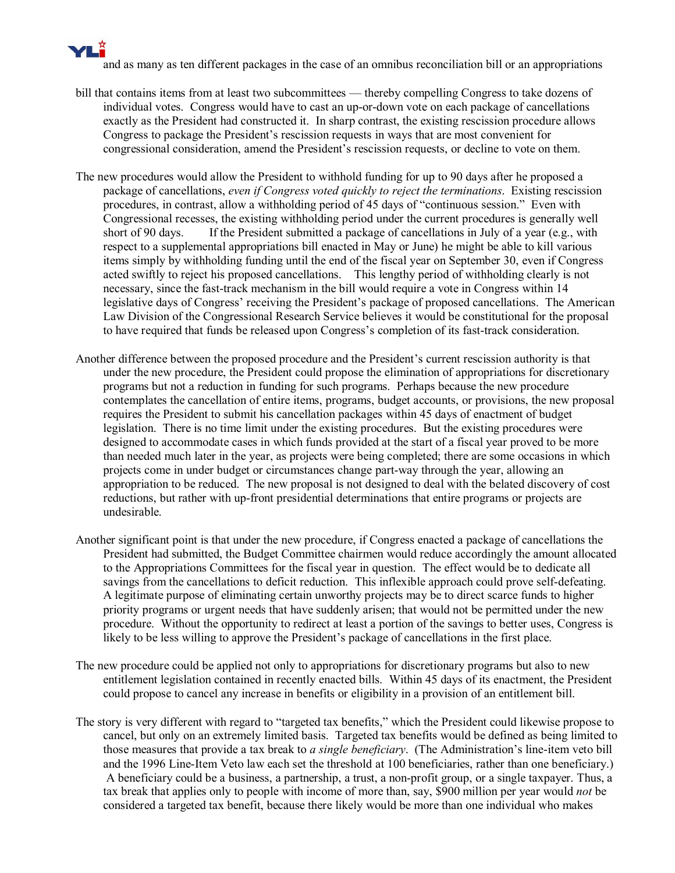

and as many as ten different packages in the case of an omnibus reconciliation bill or an appropriations

- bill that contains items from at least two subcommittees thereby compelling Congress to take dozens of individual votes. Congress would have to cast an up-or-down vote on each package of cancellations exactly as the President had constructed it. In sharp contrast, the existing rescission procedure allows Congress to package the President's rescission requests in ways that are most convenient for congressional consideration, amend the President's rescission requests, or decline to vote on them.
- The new procedures would allow the President to withhold funding for up to 90 days after he proposed a package of cancellations, *even if Congress voted quickly to reject the terminations*. Existing rescission procedures, in contrast, allow a withholding period of 45 days of "continuous session." Even with Congressional recesses, the existing withholding period under the current procedures is generally well short of 90 days. If the President submitted a package of cancellations in July of a year (e.g., with respect to a supplemental appropriations bill enacted in May or June) he might be able to kill various items simply by withholding funding until the end of the fiscal year on September 30, even if Congress acted swiftly to reject his proposed cancellations. This lengthy period of withholding clearly is not necessary, since the fast-track mechanism in the bill would require a vote in Congress within 14 legislative days of Congress' receiving the President's package of proposed cancellations. The American Law Division of the Congressional Research Service believes it would be constitutional for the proposal to have required that funds be released upon Congress's completion of its fast-track consideration.
- Another difference between the proposed procedure and the President's current rescission authority is that under the new procedure, the President could propose the elimination of appropriations for discretionary programs but not a reduction in funding for such programs. Perhaps because the new procedure contemplates the cancellation of entire items, programs, budget accounts, or provisions, the new proposal requires the President to submit his cancellation packages within 45 days of enactment of budget legislation. There is no time limit under the existing procedures. But the existing procedures were designed to accommodate cases in which funds provided at the start of a fiscal year proved to be more than needed much later in the year, as projects were being completed; there are some occasions in which projects come in under budget or circumstances change part-way through the year, allowing an appropriation to be reduced. The new proposal is not designed to deal with the belated discovery of cost reductions, but rather with up-front presidential determinations that entire programs or projects are undesirable.
- Another significant point is that under the new procedure, if Congress enacted a package of cancellations the President had submitted, the Budget Committee chairmen would reduce accordingly the amount allocated to the Appropriations Committees for the fiscal year in question. The effect would be to dedicate all savings from the cancellations to deficit reduction. This inflexible approach could prove self-defeating. A legitimate purpose of eliminating certain unworthy projects may be to direct scarce funds to higher priority programs or urgent needs that have suddenly arisen; that would not be permitted under the new procedure. Without the opportunity to redirect at least a portion of the savings to better uses, Congress is likely to be less willing to approve the President's package of cancellations in the first place.
- The new procedure could be applied not only to appropriations for discretionary programs but also to new entitlement legislation contained in recently enacted bills. Within 45 days of its enactment, the President could propose to cancel any increase in benefits or eligibility in a provision of an entitlement bill.
- The story is very different with regard to "targeted tax benefits," which the President could likewise propose to cancel, but only on an extremely limited basis. Targeted tax benefits would be defined as being limited to those measures that provide a tax break to *a single beneficiary*. (The Administration's line-item veto bill and the 1996 Line-Item Veto law each set the threshold at 100 beneficiaries, rather than one beneficiary.) A beneficiary could be a business, a partnership, a trust, a non-profit group, or a single taxpayer. Thus, a tax break that applies only to people with income of more than, say, \$900 million per year would *not* be considered a targeted tax benefit, because there likely would be more than one individual who makes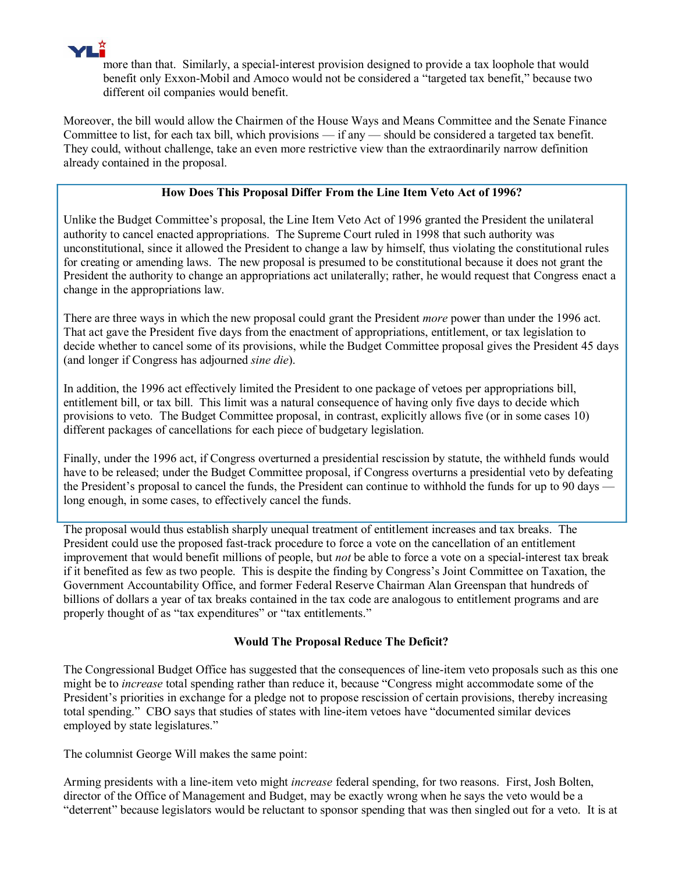

more than that. Similarly, a special-interest provision designed to provide a tax loophole that would benefit only Exxon-Mobil and Amoco would not be considered a "targeted tax benefit," because two different oil companies would benefit.

Moreover, the bill would allow the Chairmen of the House Ways and Means Committee and the Senate Finance Committee to list, for each tax bill, which provisions — if any — should be considered a targeted tax benefit. They could, without challenge, take an even more restrictive view than the extraordinarily narrow definition already contained in the proposal.

#### **How Does This Proposal Differ From the Line Item Veto Act of 1996?**

Unlike the Budget Committee's proposal, the Line Item Veto Act of 1996 granted the President the unilateral authority to cancel enacted appropriations. The Supreme Court ruled in 1998 that such authority was unconstitutional, since it allowed the President to change a law by himself, thus violating the constitutional rules for creating or amending laws. The new proposal is presumed to be constitutional because it does not grant the President the authority to change an appropriations act unilaterally; rather, he would request that Congress enact a change in the appropriations law.

There are three ways in which the new proposal could grant the President *more* power than under the 1996 act. That act gave the President five days from the enactment of appropriations, entitlement, or tax legislation to decide whether to cancel some of its provisions, while the Budget Committee proposal gives the President 45 days (and longer if Congress has adjourned *sine die*).

In addition, the 1996 act effectively limited the President to one package of vetoes per appropriations bill, entitlement bill, or tax bill. This limit was a natural consequence of having only five days to decide which provisions to veto. The Budget Committee proposal, in contrast, explicitly allows five (or in some cases 10) different packages of cancellations for each piece of budgetary legislation.

Finally, under the 1996 act, if Congress overturned a presidential rescission by statute, the withheld funds would have to be released; under the Budget Committee proposal, if Congress overturns a presidential veto by defeating the President's proposal to cancel the funds, the President can continue to withhold the funds for up to 90 days long enough, in some cases, to effectively cancel the funds.

The proposal would thus establish sharply unequal treatment of entitlement increases and tax breaks. The President could use the proposed fast-track procedure to force a vote on the cancellation of an entitlement improvement that would benefit millions of people, but *not* be able to force a vote on a special-interest tax break if it benefited as few as two people. This is despite the finding by Congress's Joint Committee on Taxation, the Government Accountability Office, and former Federal Reserve Chairman Alan Greenspan that hundreds of billions of dollars a year of tax breaks contained in the tax code are analogous to entitlement programs and are properly thought of as "tax expenditures" or "tax entitlements."

#### **Would The Proposal Reduce The Deficit?**

The Congressional Budget Office has suggested that the consequences of line-item veto proposals such as this one might be to *increase* total spending rather than reduce it, because "Congress might accommodate some of the President's priorities in exchange for a pledge not to propose rescission of certain provisions, thereby increasing total spending." CBO says that studies of states with line-item vetoes have "documented similar devices" employed by state legislatures."

The columnist George Will makes the same point:

Arming presidents with a line-item veto might *increase* federal spending, for two reasons. First, Josh Bolten, director of the Office of Management and Budget, may be exactly wrong when he says the veto would be a "deterrent" because legislators would be reluctant to sponsor spending that was then singled out for a veto. It is at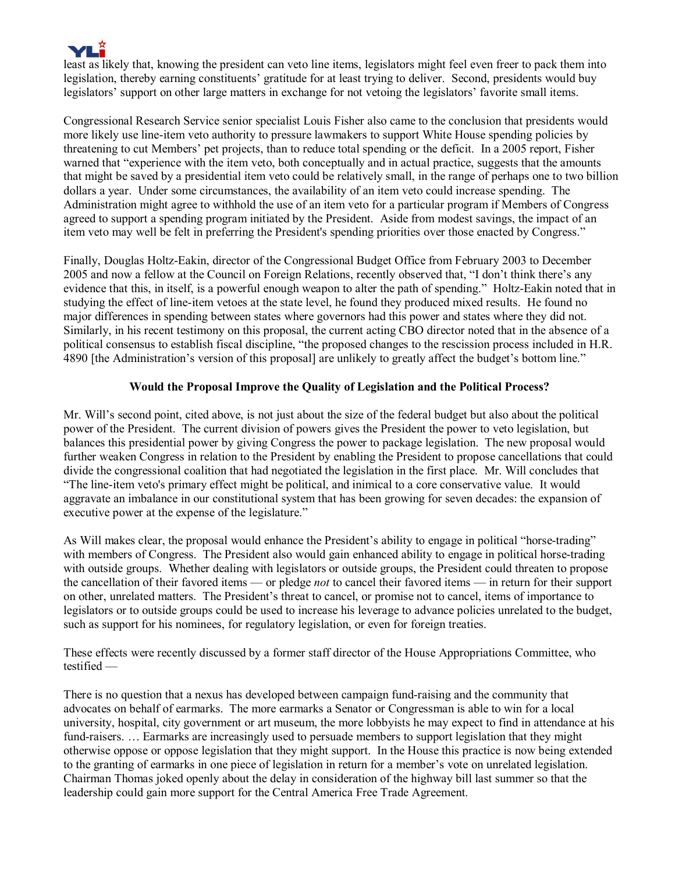

least as likely that, knowing the president can veto line items, legislators might feel even freer to pack them into legislation, thereby earning constituents' gratitude for at least trying to deliver. Second, presidents would buy legislators' support on other large matters in exchange for not vetoing the legislators' favorite small items.

Congressional Research Service senior specialist Louis Fisher also came to the conclusion that presidents would more likely use line-item veto authority to pressure lawmakers to support White House spending policies by threatening to cut Members' pet projects, than to reduce total spending or the deficit. In a 2005 report, Fisher warned that "experience with the item veto, both conceptually and in actual practice, suggests that the amounts that might be saved by a presidential item veto could be relatively small, in the range of perhaps one to two billion dollars a year. Under some circumstances, the availability of an item veto could increase spending. The Administration might agree to withhold the use of an item veto for a particular program if Members of Congress agreed to support a spending program initiated by the President. Aside from modest savings, the impact of an item veto may well be felt in preferring the President's spending priorities over those enacted by Congress."

Finally, Douglas Holtz-Eakin, director of the Congressional Budget Office from February 2003 to December 2005 and now a fellow at the Council on Foreign Relations, recently observed that, "I don't think there's any evidence that this, in itself, is a powerful enough weapon to alter the path of spending." Holtz-Eakin noted that in studying the effect of line-item vetoes at the state level, he found they produced mixed results. He found no major differences in spending between states where governors had this power and states where they did not. Similarly, in his recent testimony on this proposal, the current acting CBO director noted that in the absence of a political consensus to establish fiscal discipline, "the proposed changes to the rescission process included in H.R. 4890 [the Administration's version of this proposal] are unlikely to greatly affect the budget's bottom line."

#### **Would the Proposal Improve the Quality of Legislation and the Political Process?**

Mr. Will's second point, cited above, is not just about the size of the federal budget but also about the political power of the President. The current division of powers gives the President the power to veto legislation, but balances this presidential power by giving Congress the power to package legislation. The new proposal would further weaken Congress in relation to the President by enabling the President to propose cancellations that could divide the congressional coalition that had negotiated the legislation in the first place. Mr. Will concludes that "The line-item veto's primary effect might be political, and inimical to a core conservative value. It would aggravate an imbalance in our constitutional system that has been growing for seven decades: the expansion of executive power at the expense of the legislature."

As Will makes clear, the proposal would enhance the President's ability to engage in political "horse-trading" with members of Congress. The President also would gain enhanced ability to engage in political horse-trading with outside groups. Whether dealing with legislators or outside groups, the President could threaten to propose the cancellation of their favored items — or pledge *not* to cancel their favored items — in return for their support on other, unrelated matters. The President's threat to cancel, or promise not to cancel, items of importance to legislators or to outside groups could be used to increase his leverage to advance policies unrelated to the budget, such as support for his nominees, for regulatory legislation, or even for foreign treaties.

These effects were recently discussed by a former staff director of the House Appropriations Committee, who testified —

There is no question that a nexus has developed between campaign fund-raising and the community that advocates on behalf of earmarks. The more earmarks a Senator or Congressman is able to win for a local university, hospital, city government or art museum, the more lobbyists he may expect to find in attendance at his fund-raisers. ... Earmarks are increasingly used to persuade members to support legislation that they might otherwise oppose or oppose legislation that they might support. In the House this practice is now being extended to the granting of earmarks in one piece of legislation in return for a member's vote on unrelated legislation. Chairman Thomas joked openly about the delay in consideration of the highway bill last summer so that the leadership could gain more support for the Central America Free Trade Agreement.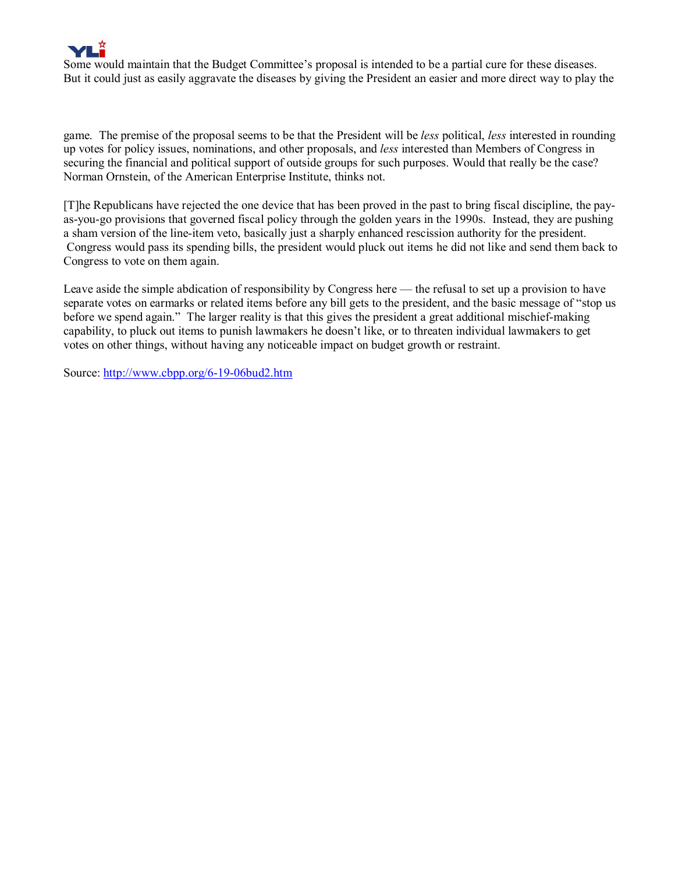

Some would maintain that the Budget Committee's proposal is intended to be a partial cure for these diseases. But it could just as easily aggravate the diseases by giving the President an easier and more direct way to play the

game. The premise of the proposal seems to be that the President will be *less* political, *less* interested in rounding up votes for policy issues, nominations, and other proposals, and *less* interested than Members of Congress in securing the financial and political support of outside groups for such purposes. Would that really be the case? Norman Ornstein, of the American Enterprise Institute, thinks not.

[T]he Republicans have rejected the one device that has been proved in the past to bring fiscal discipline, the pay as-you-go provisions that governed fiscal policy through the golden years in the 1990s. Instead, they are pushing a sham version of the line-item veto, basically just a sharply enhanced rescission authority for the president. Congress would pass its spending bills, the president would pluck out items he did not like and send them back to Congress to vote on them again.

Leave aside the simple abdication of responsibility by Congress here — the refusal to set up a provision to have separate votes on earmarks or related items before any bill gets to the president, and the basic message of "stop us before we spend again." The larger reality is that this gives the president a great additional mischief-making capability, to pluck out items to punish lawmakers he doesn't like, or to threaten individual lawmakers to get votes on other things, without having any noticeable impact on budget growth or restraint.

Source: http://www.cbpp.org/6-19-06bud2.htm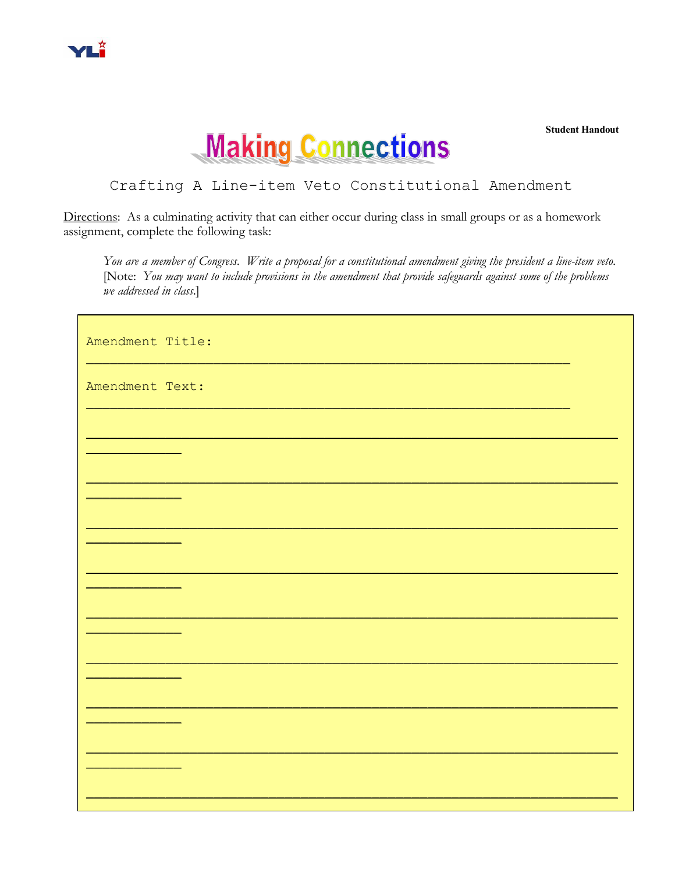



**Student Handout** 

#### Crafting A Line-item Veto Constitutional Amendment

Directions: As a culminating activity that can either occur during class in small groups or as a homework assignment, complete the following task:

*You are a member of Congress. Write a proposal for a constitutional amendment giving the president a line-item veto.* [Note: *You may want to include provisions in the amendment that provide safeguards against some of the problems we addressed in class.*]

| Amendment Title: |
|------------------|
| Amendment Text:  |
|                  |
|                  |
|                  |
|                  |
|                  |
|                  |
|                  |
|                  |
|                  |
|                  |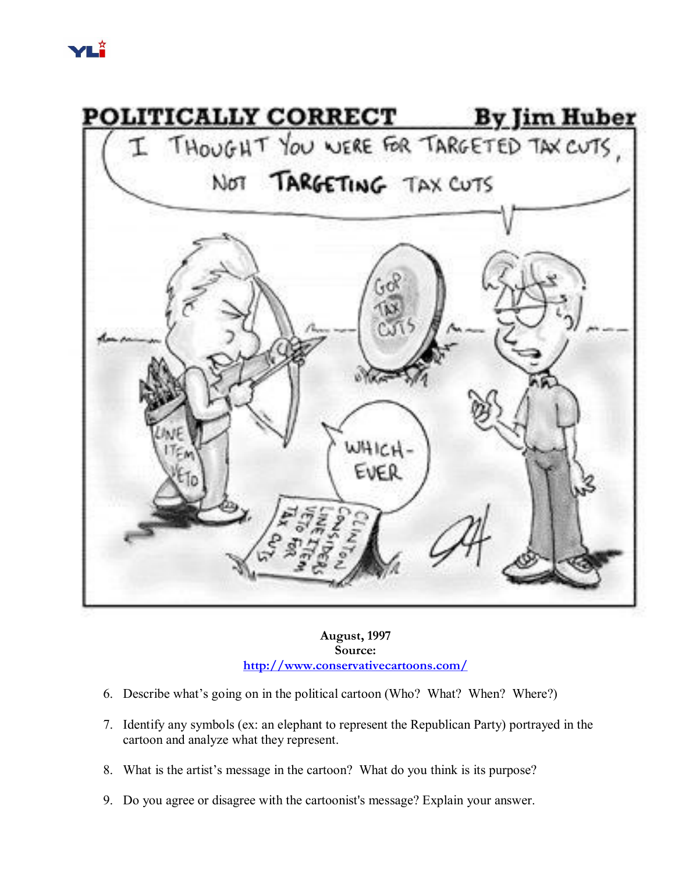



**August, 1997 Source: <http://www.conservativecartoons.com/>**

- 6. Describe what's going on in the political cartoon (Who? What? When? Where?)
- 7. Identify any symbols (ex: an elephant to represent the Republican Party) portrayed in the cartoon and analyze what they represent.
- 8. What is the artist's message in the cartoon? What do you think is its purpose?
- 9. Do you agree or disagree with the cartoonist's message? Explain your answer.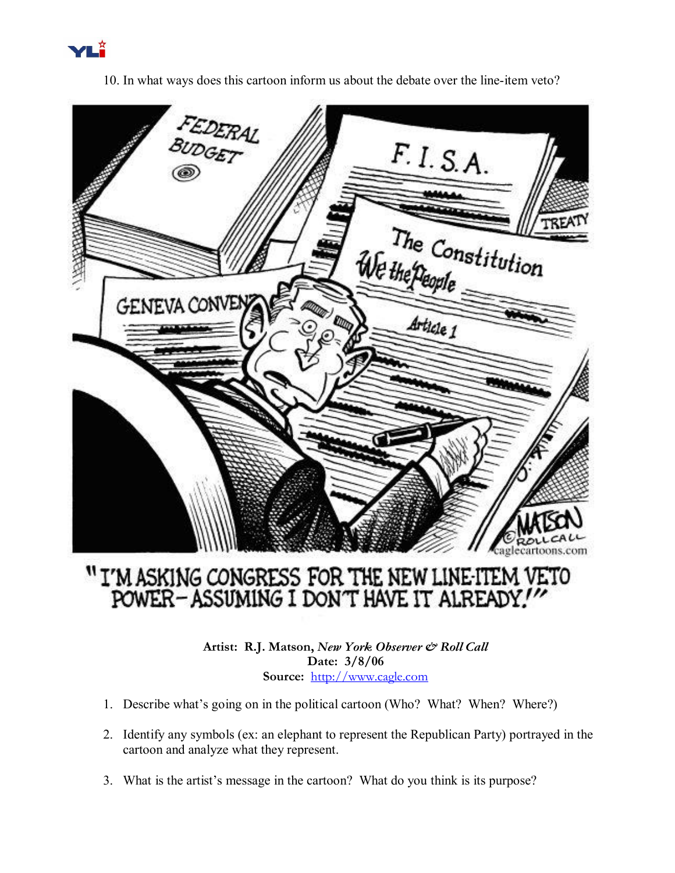



10. In what ways does this cartoon inform us about the debate over the line-item veto?

### "I'M ASKING CONGRESS FOR THE NEW LINE-ITEM VETO POWER-ASSUMING I DON'T HAVE IT ALREADY!"

**Artist: R.J. Matson,** *New York Observer & Roll Call* **Date: 3/8/06 Source:** [http://www.cagle.com](http://www.cagle.com/)

- 1. Describe what's going on in the political cartoon (Who? What? When? Where?)
- 2. Identify any symbols (ex: an elephant to represent the Republican Party) portrayed in the cartoon and analyze what they represent.
- 3. What is the artist's message in the cartoon? What do you think is its purpose?